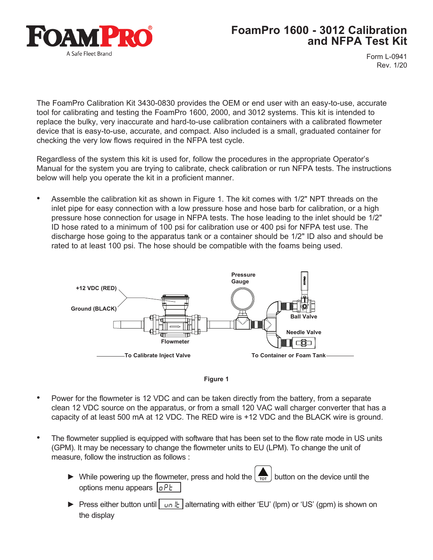

## **FoamPro 1600 - 3012 Calibration and NFPA Test Kit**

Form L-0941 Rev. 1/20

The FoamPro Calibration Kit 3430-0830 provides the OEM or end user with an easy-to-use, accurate tool for calibrating and testing the FoamPro 1600, 2000, and 3012 systems. This kit is intended to replace the bulky, very inaccurate and hard-to-use calibration containers with a calibrated flowmeter device that is easy-to-use, accurate, and compact. Also included is a small, graduated container for checking the very low flows required in the NFPA test cycle.

Regardless of the system this kit is used for, follow the procedures in the appropriate Operator's Manual for the system you are trying to calibrate, check calibration or run NFPA tests. The instructions below will help you operate the kit in a proficient manner.

• Assemble the calibration kit as shown in Figure 1. The kit comes with 1/2" NPT threads on the inlet pipe for easy connection with a low pressure hose and hose barb for calibration, or a high pressure hose connection for usage in NFPA tests. The hose leading to the inlet should be 1/2" ID hose rated to a minimum of 100 psi for calibration use or 400 psi for NFPA test use. The discharge hose going to the apparatus tank or a container should be 1/2" ID also and should be rated to at least 100 psi. The hose should be compatible with the foams being used.





- Power for the flowmeter is 12 VDC and can be taken directly from the battery, from a separate clean 12 VDC source on the apparatus, or from a small 120 VAC wall charger converter that has a capacity of at least 500 mA at 12 VDC. The RED wire is +12 VDC and the BLACK wire is ground.
- The flowmeter supplied is equipped with software that has been set to the flow rate mode in US units (GPM). It may be necessary to change the flowmeter units to EU (LPM). To change the unit of measure, follow the instruction as follows :
	- $\blacktriangleright$  While powering up the flowmeter, press and hold the  $\left\lfloor \frac{1}{101} \right\rfloor$  button on the device until the options menu appears  $\sqrt{aPt}$
	- ► Press either button until | un  $\frac{1}{k}$  | alternating with either 'EU' (lpm) or 'US' (gpm) is shown on the display